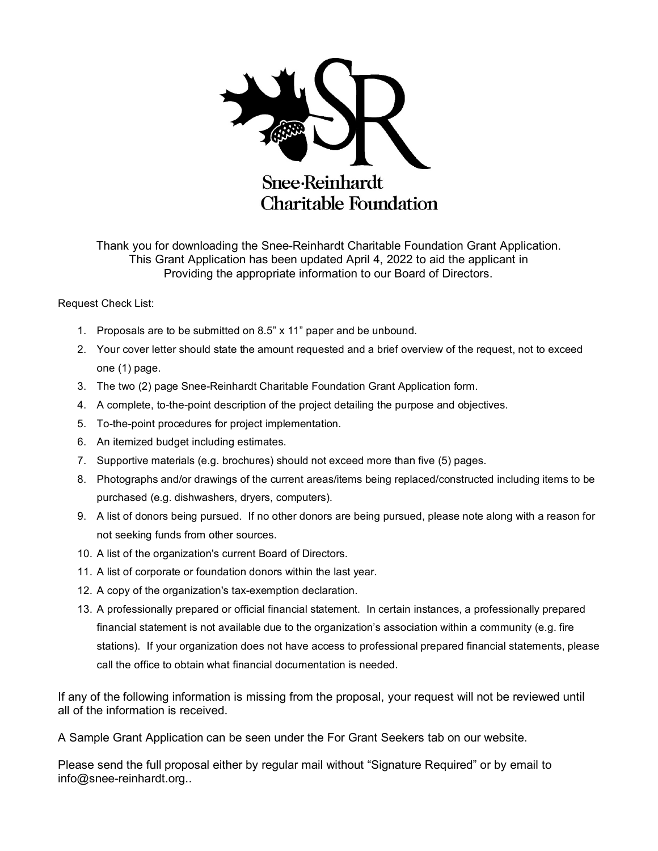

Thank you for downloading the Snee-Reinhardt Charitable Foundation Grant Application. This Grant Application has been updated April 4, 2022 to aid the applicant in Providing the appropriate information to our Board of Directors.

#### Request Check List:

- 1. Proposals are to be submitted on 8.5" x 11" paper and be unbound.
- 2. Your cover letter should state the amount requested and a brief overview of the request, not to exceed one (1) page.
- 3. The two (2) page Snee-Reinhardt Charitable Foundation Grant Application form.
- 4. A complete, to-the-point description of the project detailing the purpose and objectives.
- 5. To-the-point procedures for project implementation.
- 6. An itemized budget including estimates.
- 7. Supportive materials (e.g. brochures) should not exceed more than five (5) pages.
- 8. Photographs and/or drawings of the current areas/items being replaced/constructed including items to be purchased (e.g. dishwashers, dryers, computers).
- 9. A list of donors being pursued. If no other donors are being pursued, please note along with a reason for not seeking funds from other sources.
- 10. A list of the organization's current Board of Directors.
- 11. A list of corporate or foundation donors within the last year.
- 12. A copy of the organization's tax-exemption declaration.
- 13. A professionally prepared or official financial statement. In certain instances, a professionally prepared financial statement is not available due to the organization's association within a community (e.g. fire stations). If your organization does not have access to professional prepared financial statements, please call the office to obtain what financial documentation is needed.

If any of the following information is missing from the proposal, your request will not be reviewed until all of the information is received.

A Sample Grant Application can be seen under the For Grant Seekers tab on our website.

Please send the full proposal either by regular mail without "Signature Required" or by email to info@snee-reinhardt.org..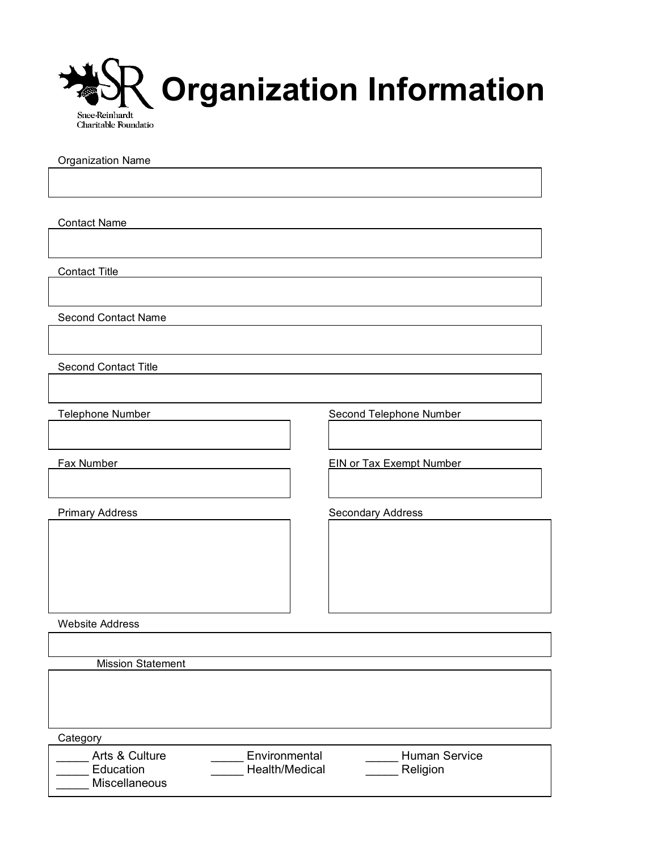

Organization Name

Contact Name

Contact Title

Second Contact Name

Second Contact Title

Telephone Number Second Telephone Number

Fax Number **EIN** or Tax Exempt Number

Primary Address **Secondary Address** Secondary Address

Website Address

Mission Statement

**Category** 

| Arts & Culture<br>Education<br><b>Miscellaneous</b> | Environmental<br>Health/Medical | <b>Human Service</b><br>Religion |  |
|-----------------------------------------------------|---------------------------------|----------------------------------|--|
|                                                     |                                 |                                  |  |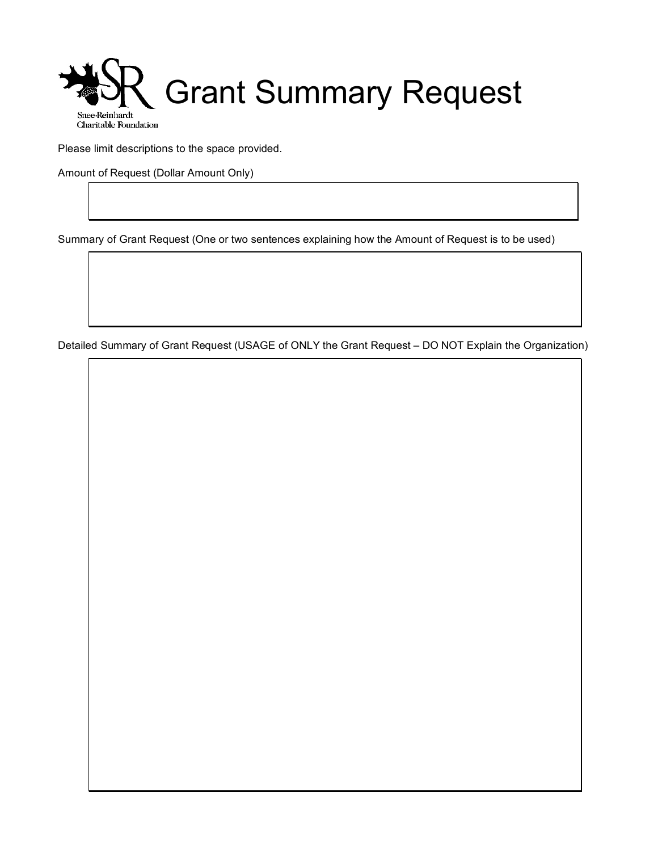

Please limit descriptions to the space provided.

Amount of Request (Dollar Amount Only)

Summary of Grant Request (One or two sentences explaining how the Amount of Request is to be used)

Detailed Summary of Grant Request (USAGE of ONLY the Grant Request – DO NOT Explain the Organization)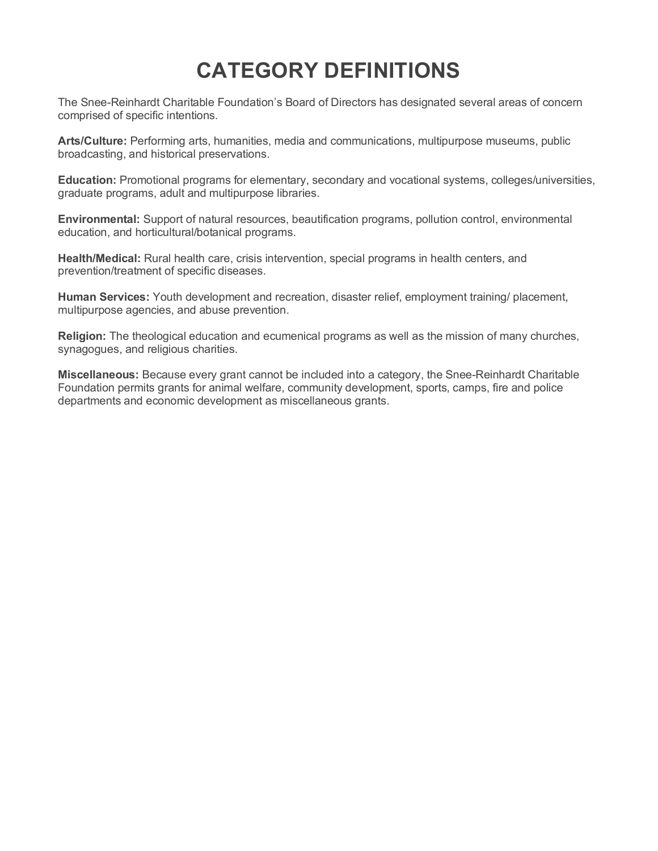# **CATEGORY DEFINITIONS**

The Snee-Reinhardt Charitable Foundation's Board of Directors has designated several areas of concern comprised of specific intentions.

**Arts/Culture:** Performing arts, humanities, media and communications, multipurpose museums, public broadcasting, and historical preservations.

**Education:** Promotional programs for elementary, secondary and vocational systems, colleges/universities, graduate programs, adult and multipurpose libraries.

**Environmental:** Support of natural resources, beautification programs, pollution control, environmental education, and horticultural/botanical programs.

**Health/Medical:** Rural health care, crisis intervention, special programs in health centers, and prevention/treatment of specific diseases.

**Human Services:** Youth development and recreation, disaster relief, employment training/ placement, multipurpose agencies, and abuse prevention.

**Religion:** The theological education and ecumenical programs as well as the mission of many churches, synagogues, and religious charities.

**Miscellaneous:** Because every grant cannot be included into a category, the Snee-Reinhardt Charitable Foundation permits grants for animal welfare, community development, sports, camps, fire and police departments and economic development as miscellaneous grants.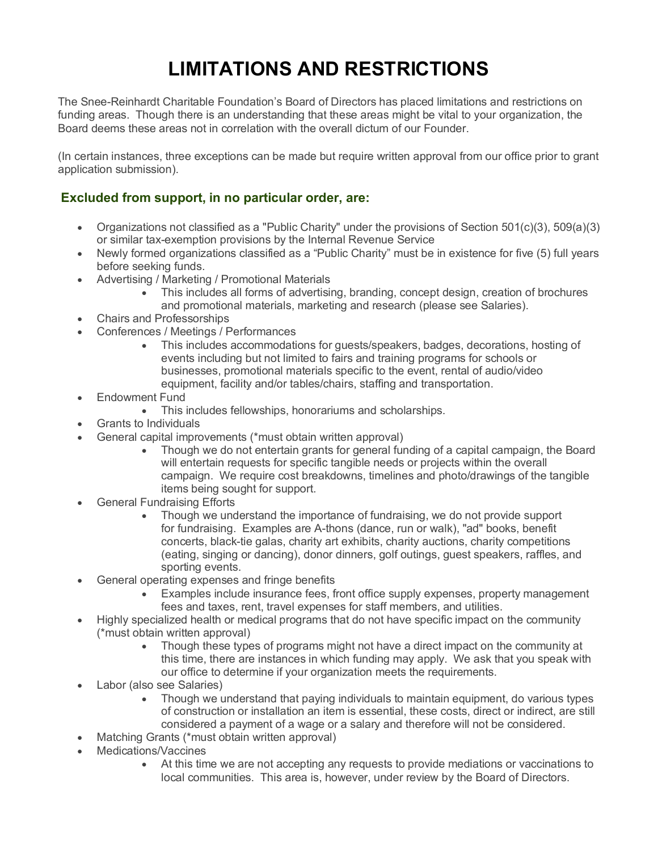## **LIMITATIONS AND RESTRICTIONS**

The Snee-Reinhardt Charitable Foundation's Board of Directors has placed limitations and restrictions on funding areas. Though there is an understanding that these areas might be vital to your organization, the Board deems these areas not in correlation with the overall dictum of our Founder.

(In certain instances, three exceptions can be made but require written approval from our office prior to grant application submission).

### **Excluded from support, in no particular order, are:**

- Organizations not classified as a "Public Charity" under the provisions of Section 501(c)(3), 509(a)(3) or similar tax-exemption provisions by the Internal Revenue Service
- Newly formed organizations classified as a "Public Charity" must be in existence for five (5) full years before seeking funds.
- Advertising / Marketing / Promotional Materials
	- This includes all forms of advertising, branding, concept design, creation of brochures and promotional materials, marketing and research (please see Salaries).
- Chairs and Professorships
- Conferences / Meetings / Performances
	- This includes accommodations for guests/speakers, badges, decorations, hosting of events including but not limited to fairs and training programs for schools or businesses, promotional materials specific to the event, rental of audio/video equipment, facility and/or tables/chairs, staffing and transportation.
- Endowment Fund
	- This includes fellowships, honorariums and scholarships.
- Grants to Individuals
- General capital improvements (\*must obtain written approval)
	- Though we do not entertain grants for general funding of a capital campaign, the Board will entertain requests for specific tangible needs or projects within the overall campaign. We require cost breakdowns, timelines and photo/drawings of the tangible items being sought for support.
- **General Fundraising Efforts** 
	- Though we understand the importance of fundraising, we do not provide support for fundraising. Examples are A-thons (dance, run or walk), "ad" books, benefit concerts, black-tie galas, charity art exhibits, charity auctions, charity competitions (eating, singing or dancing), donor dinners, golf outings, guest speakers, raffles, and sporting events.
- General operating expenses and fringe benefits
	- Examples include insurance fees, front office supply expenses, property management fees and taxes, rent, travel expenses for staff members, and utilities.
- Highly specialized health or medical programs that do not have specific impact on the community (\*must obtain written approval)
	- Though these types of programs might not have a direct impact on the community at this time, there are instances in which funding may apply. We ask that you speak with our office to determine if your organization meets the requirements.
- Labor (also see Salaries)
	- Though we understand that paying individuals to maintain equipment, do various types of construction or installation an item is essential, these costs, direct or indirect, are still considered a payment of a wage or a salary and therefore will not be considered.
- Matching Grants (\*must obtain written approval)
- Medications/Vaccines
	- At this time we are not accepting any requests to provide mediations or vaccinations to local communities. This area is, however, under review by the Board of Directors.